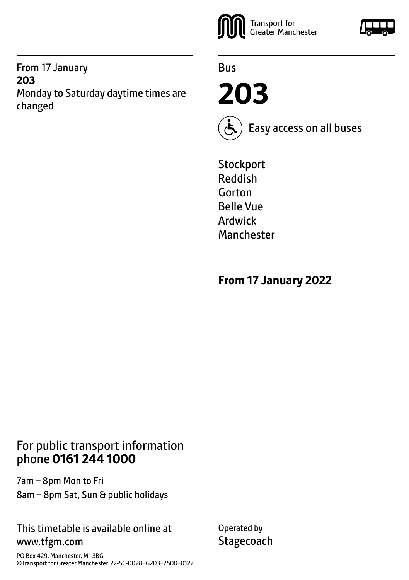From 17 January **203**  Monday to Saturday daytime times are changed



Bus

**203**



Easy access on all buses

**Stockport** Reddish Gorton Belle Vue Ardwick Manchester

**From 17 January 2022**

#### For public transport information phone **0161 244 1000**

7am – 8pm Mon to Fri 8am – 8pm Sat, Sun & public holidays

#### This timetable is available online at www.tfgm.com

PO Box 429, Manchester, M1 3BG ©Transport for Greater Manchester 22-SC-0028–G203–2500–0122 Operated by **Stagecoach** 

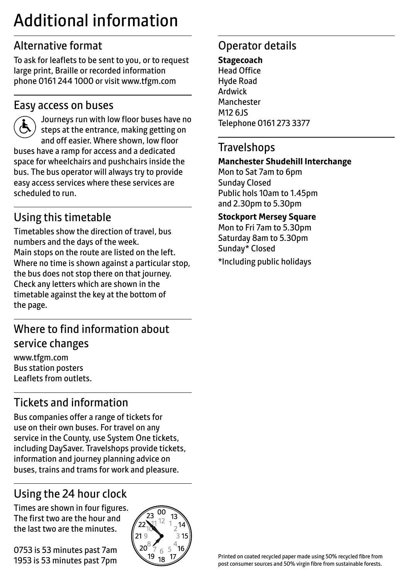# Additional information

## Alternative format

To ask for leaflets to be sent to you, or to request large print, Braille or recorded information phone 0161 244 1000 or visit www.tfgm.com

#### Easy access on buses



 Journeys run with low floor buses have no steps at the entrance, making getting on and off easier. Where shown, low floor buses have a ramp for access and a dedicated space for wheelchairs and pushchairs inside the bus. The bus operator will always try to provide easy access services where these services are scheduled to run.

## Using this timetable

Timetables show the direction of travel, bus numbers and the days of the week. Main stops on the route are listed on the left. Where no time is shown against a particular stop, the bus does not stop there on that journey. Check any letters which are shown in the timetable against the key at the bottom of the page.

## Where to find information about service changes

www.tfgm.com Bus station posters Leaflets from outlets.

## Tickets and information

Bus companies offer a range of tickets for use on their own buses. For travel on any service in the County, use System One tickets, including DaySaver. Travelshops provide tickets, information and journey planning advice on buses, trains and trams for work and pleasure.

## Using the 24 hour clock

Times are shown in four figures. The first two are the hour and the last two are the minutes.

0753 is 53 minutes past 7am 1953 is 53 minutes past 7pm



## Operator details

**Stagecoach** Head Office Hyde Road Ardwick **Manchester** M12 6JS Telephone 0161 273 3377

#### **Travelshops**

#### **Manchester Shudehill Interchange**

Mon to Sat 7am to 6pm Sunday Closed Public hols 10am to 1.45pm and 2.30pm to 5.30pm

**Stockport Mersey Square**

Mon to Fri 7am to 5.30pm Saturday 8am to 5.30pm Sunday\* Closed

\*Including public holidays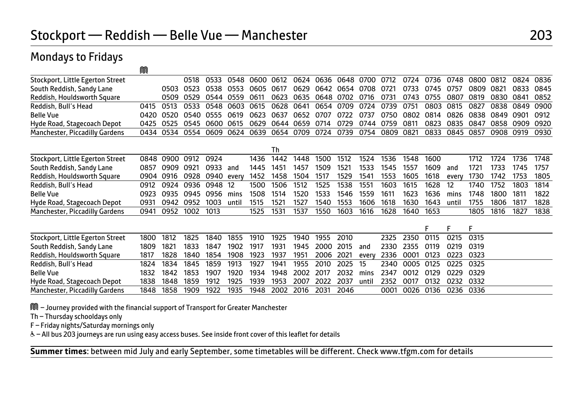#### Stockport — Reddish — Belle Vue — Manchester 203

#### M Stockport, Little Egerton Street 6518 0518 0533 0548 0600 0612 0624 0636 0648 0700 0712 0724 0736 0748 0800 0812 0824 0836<br>South Reddish, Sandy Lane 6503 0503 0523 0538 0553 0605 0617 0629 0642 0654 0708 0721 0733 0745 075 South Reddish, Sandy Lane 0503 0523 0538 0553 0605 0617 0629 0642 0654 0708 0721 0733 0745 0757 0809 0821 0833 0845 Reddish, Houldsworth Square 0509 0529 0544 0559 0611 0623 0635 0648 0702 0716 0731 0743 0755 0807 0819 0830 0841 0852 Reddish, Bull's Head 0415 0513 0533 0548 0603 0615 0628 0641 0654 0709 0724 0739 0751 0803 0815 0827 0838 0849 0900 Belle Vue 0420 0520 0540 0555 0619 0623 0637 0652 0707 0722 0737 0750 0802 0814 0826 0838 0849 0901 0912 0425 0525 0545 0600 0615 0629 0644 0659 0714 0729 0744 0759 0811 0823<br>0434 0534 0554 0609 0624 0639 0654 0709 0724 0739 0754 0809 0821 0833 Manchester, Piccadilly Gardens 0434 0534 0554 0609 0624 0639 0654 0709 0724 0739 0754 0809 0821 0833 0845 0857 0908 0919 0930 **The Community of the Community of The Theorem and The Theorem and The Theorem and The Theorem and Theorem and** Stockport, Little Egerton Street 0848 0900 0912 0924 1436 1442 1448 1500 1512 1524 1536 1548 1600 1712 1724 1736 1748 South Reddish, Sandy Lane 0857 0909 0921 0933 and 1445 1451 1457 1509 1521 1533 1545 1557 1609 and 1721 1733 1745 1757 Reddish, Houldsworth Square 0904 0916 0928 0940 every 1452 1458 1504 1517 1529 1541 1553 1605 1618 every 1730 1742 1753 1805 Reddish, Bull's Head 0912 0924 0936 0948 12 1500 1506 1512 1525 1538 1551 1603 1615 1628 12 1740 1752 1803 1814 Belle Vue 0923 0935 0945 0956 mins 1508 1514 1520 1533 1546 1559 1611 1623 1636 mins 1748 1800 1811 1822 Hyde Road, Stagecoach Depot 0931 0942 0952 1003 until 1515 1521 1527 1540 1553 1606 1618 1630 1643 until 1755 1806 1817 1828 Manchester, Piccadilly Gardens 0941 0952 1002 1013 1525 1531 1537 1550 1603 1616 1628 1640 F F F Stockport, Little Egerton Street 1800 1812 1825 1840 1855 1910 1925 1940 1955 2010 2325 2350 0115 0215 0315 South Reddish, Sandy Lane 1809 1821 1833 1847 1902 1917 1931 1945 2000 2015 and 2330 2355 0119 0219 0319 0319<br>Reddish, Houldsworth Square 1817 1828 1840 1854 1908 1923 1937 1951 2006 2021 every 2336 0001 0123 0223 0323 Reddish, 1828 1840 1854 1908 1923 1937 1951 2006 2021 every 2336 0001 0123 0223<br>1824 1834 1845 1859 1913 1927 1941 1955 2010 2025 15 - 2340 0005 0125 0225 Reddish, Bull's Head 1824 1834 1845 1859 1913 1927 1941 1955 2010 2025 15 2340 0005 0125 0225 0325 Belle Vue 1832 1842 1853 1907 1920 1934 1948 2002 2017 2032 mins 2347 0012 0129 0229 0329 Hyde Road, Stagecoach Depot 1838 1848 1859 1912 1925 1939 1953 2007 2022 2037 until 2352 0017 0132 0232 0332 Manchester, Piccadilly Gardens 1848 1858 1909 1922 1935 1948 2002 2016 2031 2046 0001 0026 0136 0236 0336

M – Journey provided with the financial support of Transport for Greater Manchester

Th – Thursday schooldays only

Mondays to Fridays

F – Friday nights/Saturday mornings only

W– All bus 203 journeys are run using easy access buses. See inside front cover of this leaflet for details

**Summer times**: between mid July and early September, some timetables will be different. Check www.tfgm.com for details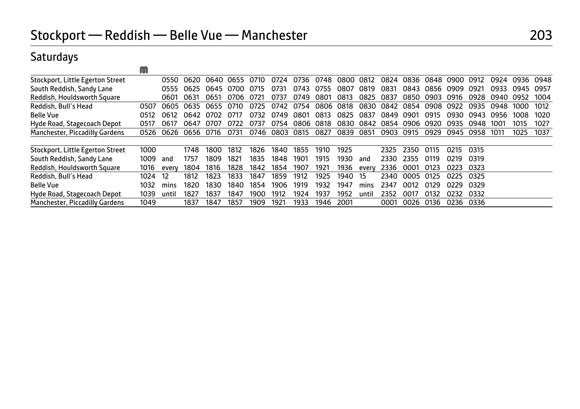## Saturdays

|                                  | M    |       |      |      |      |      |      |      |      |      |       |      |      |      |      |      |      |      |      |
|----------------------------------|------|-------|------|------|------|------|------|------|------|------|-------|------|------|------|------|------|------|------|------|
| Stockport, Little Egerton Street |      | 0550  | 0620 | 0640 | 0655 | 0710 | 0724 | 0736 | 0748 | 0800 | 0812  | 0824 | 0836 | 0848 | 0900 | 0912 | 0924 | 0936 | 0948 |
| South Reddish, Sandy Lane        |      | 0555  | 0625 | 0645 | 0700 | 0715 | 0731 | 0743 | 0755 | 0807 | 0819  | 0831 | 0843 | 0856 | 0909 | 0921 | 0933 | 0945 | 0957 |
| Reddish, Houldsworth Square      |      | 0601  | 0631 | 0651 | 0706 | O721 | 0737 | 0749 | 0801 | 0813 | 0825  | 0837 | 0850 | 0903 | 0916 | 0928 | 0940 | 0952 | 1004 |
| Reddish, Bull's Head             | 0507 | 0605  | 0635 | 0655 | 0710 | 0725 | 0742 | 0754 | 0806 | 0818 | 0830  | 0842 | 0854 | 0908 | 0922 | 0935 | 0948 | 1000 | 1012 |
| <b>Belle Vue</b>                 | 0512 | 0612  | 0642 | 0702 | 0717 | 0732 | 0749 | 0801 | 0813 | 0825 | 0837  | 0849 | 0901 | 0915 | 0930 | 0943 | 0956 | 1008 | 1020 |
| Hyde Road, Stagecoach Depot      | 0517 | 0617  | 0647 | 0707 | 0722 | 0737 | 0754 | 0806 | 0818 | 0830 | 0842  | 0854 | 0906 | 0920 | 0935 | 0948 | 1001 | 1015 | 1027 |
| Manchester, Piccadilly Gardens   | 0526 | 0626  | 0656 | 0716 | 0731 | 0746 | 0803 | 0815 | 0827 | 0839 | 0851  | 0903 | 0915 | 0929 | 0945 | 0958 | 1011 | 1025 | 1037 |
| Stockport, Little Egerton Street | 1000 |       | 1748 | 1800 | 1812 | 1826 | 1840 | 1855 | 1910 | 1925 |       | 2325 | 2350 | 0115 | 0215 | 0315 |      |      |      |
| South Reddish, Sandy Lane        | 1009 | and   | 1757 | 1809 | 1821 | 1835 | 1848 | 1901 | 1915 | 1930 | and   | วววด | 2355 | 0119 | 0219 | 0319 |      |      |      |
| Reddish, Houldsworth Square      | 1016 | every | 1804 | 1816 | 1828 | 1842 | 1854 | 1907 | 1921 | 1936 | every | 2336 | 0001 | 0123 | 0223 | 0323 |      |      |      |
| Reddish, Bull's Head             | 1024 | 12    | 1812 | 1823 | 1833 | 1847 | 1859 | 1912 | 1925 | 1940 | 15    | 2340 | 0005 | 0125 | 0225 | 0325 |      |      |      |
| <b>Belle Vue</b>                 | 1032 | mins  | 1820 | 1830 | 1840 | 1854 | 1906 | 1919 | 1932 | 1947 | mins  | 2347 | 0012 | 0129 | 0229 | 0329 |      |      |      |
| Hyde Road, Stagecoach Depot      | 1039 | until | 1827 | 1837 | 1847 | 1900 | 1912 | 1924 | 1937 | 1952 | until | 2352 | 0017 | 0132 | 0232 | 0332 |      |      |      |
| Manchester, Piccadilly Gardens   | 1049 |       | 1837 | 1847 | 1857 | 1909 | 1921 | 1933 | 1946 | 2001 |       | 0001 | 0026 | 0136 | 0236 | 0336 |      |      |      |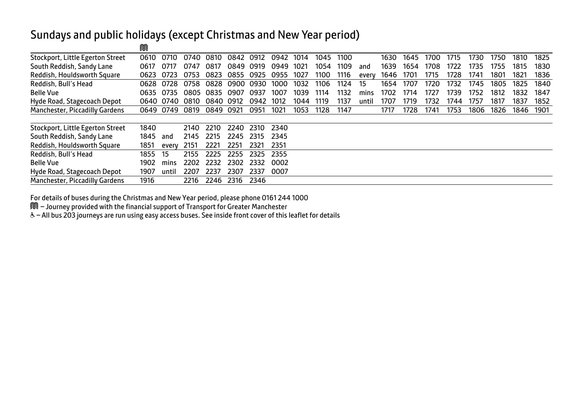#### Sundays and public holidays (except Christmas and New Year period)

|                                       | 99 C |       |      |      |      |      |      |      |      |      |       |      |      |      |      |      |      |      |      |
|---------------------------------------|------|-------|------|------|------|------|------|------|------|------|-------|------|------|------|------|------|------|------|------|
| Stockport, Little Egerton Street      | 0610 | 0710  | 0740 | 0810 | 0842 | 0912 | 0942 | 1014 | 1045 | 1100 |       | 1630 | 1645 | 1700 | 1715 | 1730 | 1750 | 1810 | 1825 |
| South Reddish, Sandy Lane             | 0617 | 0717  | 0747 | 0817 | 0849 | 0919 | 0949 | 1021 | 1054 | 1109 | and   | 1639 | 1654 | 1708 | 1722 | 1735 | 1755 | 1815 | 1830 |
| Reddish, Houldsworth Square           | 0623 | 0723  | 0753 | 0823 | 0855 | 0925 | 0955 | 1027 | 1100 | 1116 | every | 1646 | 1701 | 1715 | 1728 | 1741 | 1801 | 1821 | 1836 |
| Reddish, Bull's Head                  | 0628 | 0728  | 0758 | 0828 | 0900 | 0930 | 1000 | 1032 | 1106 | 1124 | 15    | 1654 | 1707 | 1720 | 1732 | 1745 | 1805 | 1825 | 1840 |
| <b>Belle Vue</b>                      | 0635 | 0735  | 0805 | 0835 | 0907 | 0937 | 1007 | 1039 | 1114 | 1132 | mins  | 1702 | 1714 | 1727 | 1739 | 1752 | 1812 | 1832 | 1847 |
| Hyde Road, Stagecoach Depot           | 0640 | 0740  | 0810 | 0840 | 0912 | 0942 | 1012 | 1044 | 1119 | 1137 | until | 1707 | 1719 | 1732 | 1744 | 1757 | 1817 | 1837 | 1852 |
| Manchester, Piccadilly Gardens        | 0649 | 0749  | 0819 | 0849 | 0921 | 0951 | 1021 | 1053 | 1128 | 1147 |       | 1717 | 1728 | 1741 | 1753 | 1806 | 1826 | 1846 | 1901 |
|                                       |      |       |      |      |      |      |      |      |      |      |       |      |      |      |      |      |      |      |      |
| Stockport, Little Egerton Street      | 1840 |       | 2140 | 2210 | 2240 | 2310 | 2340 |      |      |      |       |      |      |      |      |      |      |      |      |
| South Reddish, Sandy Lane             | 1845 | and   | 2145 | 2215 | 2245 | 2315 | 2345 |      |      |      |       |      |      |      |      |      |      |      |      |
| Reddish, Houldsworth Square           | 1851 | every | 2151 | 2221 | 2251 | 2321 | 2351 |      |      |      |       |      |      |      |      |      |      |      |      |
| Reddish, Bull's Head                  | 1855 | 15    | 2155 | 2225 | 2255 | 2325 | 2355 |      |      |      |       |      |      |      |      |      |      |      |      |
| <b>Belle Vue</b>                      | 1902 | mins  | 2202 | 2232 | 2302 | 2332 | 0002 |      |      |      |       |      |      |      |      |      |      |      |      |
| Hyde Road, Stagecoach Depot           | 1907 | until | 2207 | 2237 | 2307 | 2337 | 0007 |      |      |      |       |      |      |      |      |      |      |      |      |
| <b>Manchester, Piccadilly Gardens</b> | 1916 |       | 2216 | 2246 | 2316 | 2346 |      |      |      |      |       |      |      |      |      |      |      |      |      |

For details of buses during the Christmas and New Year period, please phone 0161 244 1000

M – Journey provided with the financial support of Transport for Greater Manchester

M

W– All bus 203 journeys are run using easy access buses. See inside front cover of this leaflet for details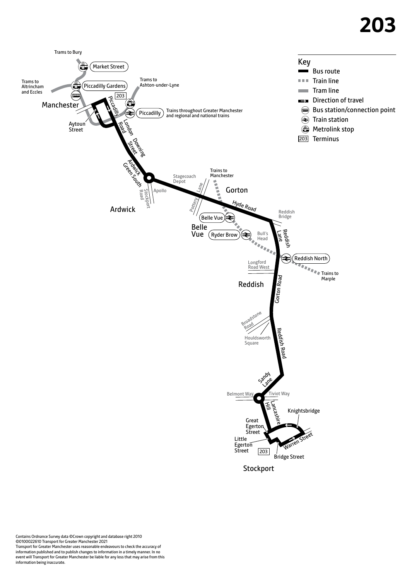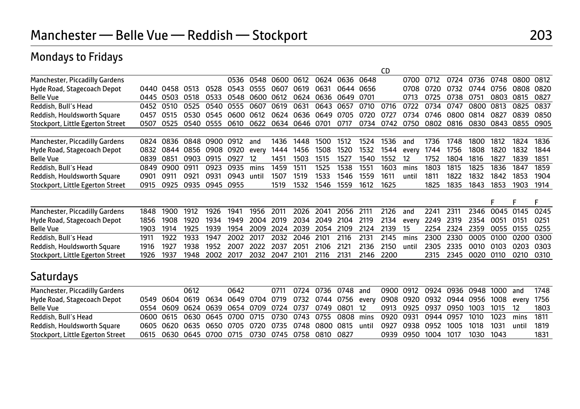## Mondays to Fridays

|                                  |                  |      |      |      |      |       |      |           |      |      |      | CD   |       |      |      |      |      |      |      |
|----------------------------------|------------------|------|------|------|------|-------|------|-----------|------|------|------|------|-------|------|------|------|------|------|------|
| Manchester, Piccadilly Gardens   |                  |      |      |      | 0536 | 0548  | 0600 | 0612      | 0624 | 0636 | 0648 |      | 0700  | 0712 | 0724 | 0736 | 0748 | 0800 | 0812 |
| Hyde Road, Stagecoach Depot      | 0440             | 0458 | 0513 | 0528 | 0543 | 0555  | 0607 | 0619      | 0631 | 0644 | 0656 |      | 0708  | 0720 | 0732 | 0744 | 0756 | 0808 | 0820 |
| <b>Belle Vue</b>                 | 0445             | 0503 | 0518 | 0533 | 0548 | 0600  | 0612 | 0624      | 0636 | 0649 | 0701 |      | 0713  | 0725 | 0738 | 0751 | 0803 | 0815 | 0827 |
| Reddish, Bull's Head             | 0452             | 0510 | 0525 | 0540 | 0555 | 0607  | 0619 | 0631      | 0643 | 0657 | 0710 | 0716 | 0722  | 0734 | 0747 | 0800 | 0813 | 0825 | 0837 |
| Reddish, Houldsworth Square      | 0457             | 0515 | 0530 | 0545 | 0600 | 0612  | 0624 | 0636      | 0649 | 0705 | 0720 | 0727 | 0734  | 0746 | 0800 | 0814 | 0827 | 0839 | 0850 |
| Stockport, Little Egerton Street | 0507             | 0525 | 0540 | 0555 | 0610 | 0622  |      | 0634 0646 | 0701 | 0717 | 0734 | 0742 | 0750  | 0802 | 0816 | 0830 | 0843 | 0855 | 0905 |
| Manchester, Piccadilly Gardens   | 0824             | 0836 | 0848 | 0900 | 0912 | and   | 1436 | 1448      | 1500 | 1512 | 1524 | 1536 | and   | 1736 | 1748 | 1800 | 1812 | 1824 | 1836 |
| Hyde Road, Stagecoach Depot      | 0832             | 0844 | 0856 | 0908 | 0920 | every | 1444 | 1456      | 1508 | 1520 | 1532 | 1544 | every | 1744 | 1756 | 1808 | 1820 | 1832 | 1844 |
| <b>Belle Vue</b>                 | 0839             | 0851 | 0903 | 0915 | 0927 | 12    | 1451 | 1503      | 1515 | 1527 | 1540 | 1552 | 12    | 1752 | 1804 | 1816 | 1827 | 1839 | 1851 |
| Reddish, Bull's Head             | 0849             | 0900 | 091  | 0923 | 0935 | mins  | 1459 | 1511      | 1525 | 1538 | 1551 | 1603 | mins  | 1803 | 1815 | 1825 | 1836 | 1847 | 1859 |
| Reddish, Houldsworth Square      | 090 <sup>-</sup> | 0911 | 0921 | 0931 | 0943 | until | 1507 | 1519      | 1533 | 1546 | 1559 | 1611 | until | 1811 | 1822 | 1832 | 1842 | 1853 | 1904 |
| Stockport, Little Egerton Street | 0915             | 0925 | 0935 | 0945 | 0955 |       | 1519 | 1532      | 1546 | 1559 | 1612 | 1625 |       | 1825 | 1835 | 1843 | 1853 | 1903 | 1914 |
|                                  |                  |      |      |      |      |       |      |           |      |      |      |      |       |      |      |      | F    | Е    | F    |
| Manchester, Piccadilly Gardens   | 1848             | 1900 | 1912 | 1926 | 1941 | 1956  | 2011 | 2026      | 2041 | 2056 | 2111 | 2126 | and   | 2241 | 2311 | 2346 | 0045 | 0145 | 0245 |
| Hyde Road, Stagecoach Depot      | 1856             | 1908 | 1920 | 1934 | 1949 | 2004  | 2019 | 2034      | 2049 | 2104 | 2119 | 2134 | every | 2249 | 2319 | 2354 | 0051 | 0151 | 0251 |
| <b>Belle Vue</b>                 | 1903             | 1914 | 1925 | 1939 | 1954 | 2009  | 2024 | 2039      | 2054 | 2109 | 2124 | 2139 | 15    | 2254 | 2324 | 2359 | 0055 | 0155 | 0255 |
| Reddish, Bull's Head             | 1911             | 1922 | 1933 | 1947 | 2002 | 2017  | 2032 | 2046      | 2101 | 2116 | 2131 | 2145 | mins  | 2300 | 2330 | 0005 | 0100 | 0200 | 0300 |
| Reddish, Houldsworth Square      | 1916             | 1927 | 1938 | 1952 | 2007 | 2022  | 2037 | 2051      | 2106 | 2121 | 2136 | 2150 | until | 2305 | 2335 | 0010 | 0103 | 0203 | 0303 |
| Stockport, Little Egerton Street | 1926             | 1937 | 1948 | 2002 | 2017 | 2032  | 2047 | 2101      | 2116 | 2131 | 2146 | 2200 |       | 2315 | 2345 | 0020 | 0110 | 0210 | 0310 |
| <b>Saturdays</b>                 |                  |      |      |      |      |       |      |           |      |      |      |      |       |      |      |      |      |      |      |

| Manchester, Piccadilly Gardens   |  | 0612 | 0642 |  |                                                   |  | 0711 0724 0736 0748 and 0900 0912 0924 0936 0948 1000 and 1748                                   |  |  |  |      |
|----------------------------------|--|------|------|--|---------------------------------------------------|--|--------------------------------------------------------------------------------------------------|--|--|--|------|
| Hyde Road, Stagecoach Depot      |  |      |      |  |                                                   |  | 0549 0604 0619 0634 0649 0704 0719 0732 0744 0756 every 0908 0920 0932 0944 0956 1008 every 1756 |  |  |  |      |
| <b>Belle Vue</b>                 |  |      |      |  |                                                   |  | 0554 0609 0624 0639 0654 0709 0724 0737 0749 0801 12 0913 0925 0937 0950 1003 1015 12 1803       |  |  |  |      |
| Reddish, Bull's Head             |  |      |      |  |                                                   |  | 0600 0615 0630 0645 0700 0715 0730 0743 0755 0808 mins 0920 0931 0944 0957 1010 1023 mins 1811   |  |  |  |      |
| Reddish, Houldsworth Square      |  |      |      |  |                                                   |  | 0605 0620 0635 0650 0705 0720 0735 0748 0800 0815 until 0927 0938 0952 1005 1018 1031 until 1819 |  |  |  |      |
| Stockport, Little Egerton Street |  |      |      |  | 0615 0630 0645 0700 0715 0730 0745 0758 0810 0827 |  | 0939 0950 1004 1017 1030 1043                                                                    |  |  |  | 1831 |